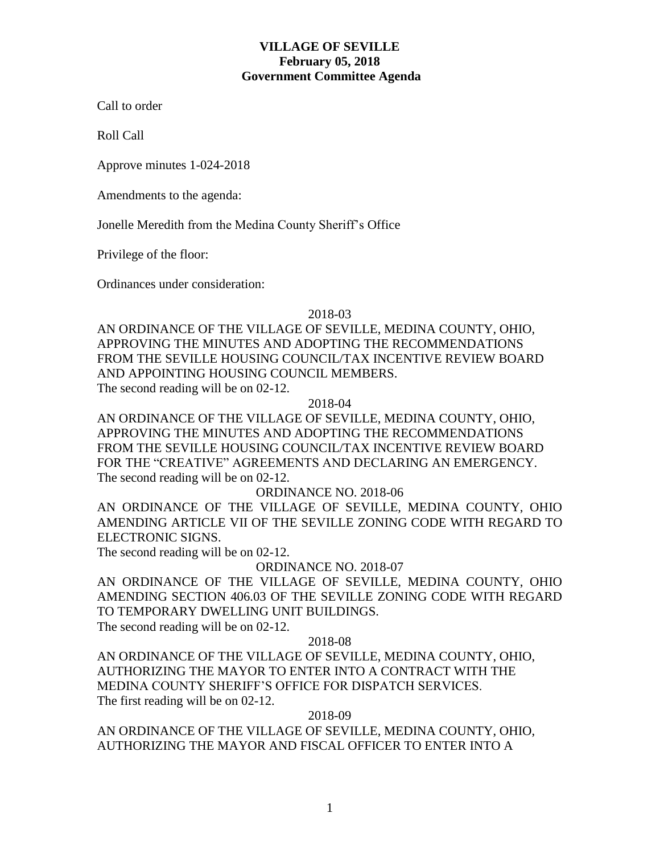# **VILLAGE OF SEVILLE February 05, 2018 Government Committee Agenda**

Call to order

Roll Call

Approve minutes 1-024-2018

Amendments to the agenda:

Jonelle Meredith from the Medina County Sheriff's Office

Privilege of the floor:

Ordinances under consideration:

### 2018-03

AN ORDINANCE OF THE VILLAGE OF SEVILLE, MEDINA COUNTY, OHIO, APPROVING THE MINUTES AND ADOPTING THE RECOMMENDATIONS FROM THE SEVILLE HOUSING COUNCIL/TAX INCENTIVE REVIEW BOARD AND APPOINTING HOUSING COUNCIL MEMBERS. The second reading will be on 02-12.

2018-04

AN ORDINANCE OF THE VILLAGE OF SEVILLE, MEDINA COUNTY, OHIO, APPROVING THE MINUTES AND ADOPTING THE RECOMMENDATIONS FROM THE SEVILLE HOUSING COUNCIL/TAX INCENTIVE REVIEW BOARD FOR THE "CREATIVE" AGREEMENTS AND DECLARING AN EMERGENCY. The second reading will be on 02-12.

## ORDINANCE NO. 2018-06

AN ORDINANCE OF THE VILLAGE OF SEVILLE, MEDINA COUNTY, OHIO AMENDING ARTICLE VII OF THE SEVILLE ZONING CODE WITH REGARD TO ELECTRONIC SIGNS.

The second reading will be on 02-12.

ORDINANCE NO. 2018-07

AN ORDINANCE OF THE VILLAGE OF SEVILLE, MEDINA COUNTY, OHIO AMENDING SECTION 406.03 OF THE SEVILLE ZONING CODE WITH REGARD TO TEMPORARY DWELLING UNIT BUILDINGS.

The second reading will be on 02-12.

### 2018-08

AN ORDINANCE OF THE VILLAGE OF SEVILLE, MEDINA COUNTY, OHIO, AUTHORIZING THE MAYOR TO ENTER INTO A CONTRACT WITH THE MEDINA COUNTY SHERIFF'S OFFICE FOR DISPATCH SERVICES. The first reading will be on 02-12.

### 2018-09

AN ORDINANCE OF THE VILLAGE OF SEVILLE, MEDINA COUNTY, OHIO, AUTHORIZING THE MAYOR AND FISCAL OFFICER TO ENTER INTO A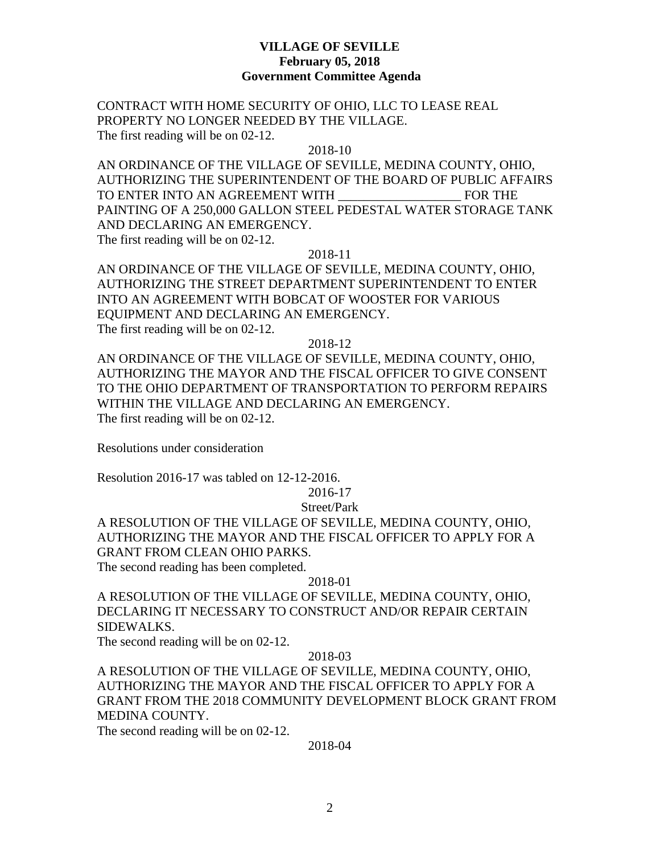# **VILLAGE OF SEVILLE February 05, 2018 Government Committee Agenda**

CONTRACT WITH HOME SECURITY OF OHIO, LLC TO LEASE REAL PROPERTY NO LONGER NEEDED BY THE VILLAGE. The first reading will be on 02-12.

### 2018-10

AN ORDINANCE OF THE VILLAGE OF SEVILLE, MEDINA COUNTY, OHIO, AUTHORIZING THE SUPERINTENDENT OF THE BOARD OF PUBLIC AFFAIRS TO ENTER INTO AN AGREEMENT WITH \_\_\_\_\_\_\_\_\_\_\_\_\_\_\_\_\_\_\_ FOR THE PAINTING OF A 250,000 GALLON STEEL PEDESTAL WATER STORAGE TANK AND DECLARING AN EMERGENCY. The first reading will be on 02-12.

2018-11

AN ORDINANCE OF THE VILLAGE OF SEVILLE, MEDINA COUNTY, OHIO, AUTHORIZING THE STREET DEPARTMENT SUPERINTENDENT TO ENTER INTO AN AGREEMENT WITH BOBCAT OF WOOSTER FOR VARIOUS EQUIPMENT AND DECLARING AN EMERGENCY. The first reading will be on 02-12.

2018-12

AN ORDINANCE OF THE VILLAGE OF SEVILLE, MEDINA COUNTY, OHIO, AUTHORIZING THE MAYOR AND THE FISCAL OFFICER TO GIVE CONSENT TO THE OHIO DEPARTMENT OF TRANSPORTATION TO PERFORM REPAIRS WITHIN THE VILLAGE AND DECLARING AN EMERGENCY. The first reading will be on 02-12.

Resolutions under consideration

Resolution 2016-17 was tabled on 12-12-2016.

2016-17

Street/Park

A RESOLUTION OF THE VILLAGE OF SEVILLE, MEDINA COUNTY, OHIO, AUTHORIZING THE MAYOR AND THE FISCAL OFFICER TO APPLY FOR A GRANT FROM CLEAN OHIO PARKS. The second reading has been completed.

2018-01

A RESOLUTION OF THE VILLAGE OF SEVILLE, MEDINA COUNTY, OHIO, DECLARING IT NECESSARY TO CONSTRUCT AND/OR REPAIR CERTAIN SIDEWALKS.

The second reading will be on 02-12.

2018-03

A RESOLUTION OF THE VILLAGE OF SEVILLE, MEDINA COUNTY, OHIO, AUTHORIZING THE MAYOR AND THE FISCAL OFFICER TO APPLY FOR A GRANT FROM THE 2018 COMMUNITY DEVELOPMENT BLOCK GRANT FROM MEDINA COUNTY.

The second reading will be on 02-12.

2018-04